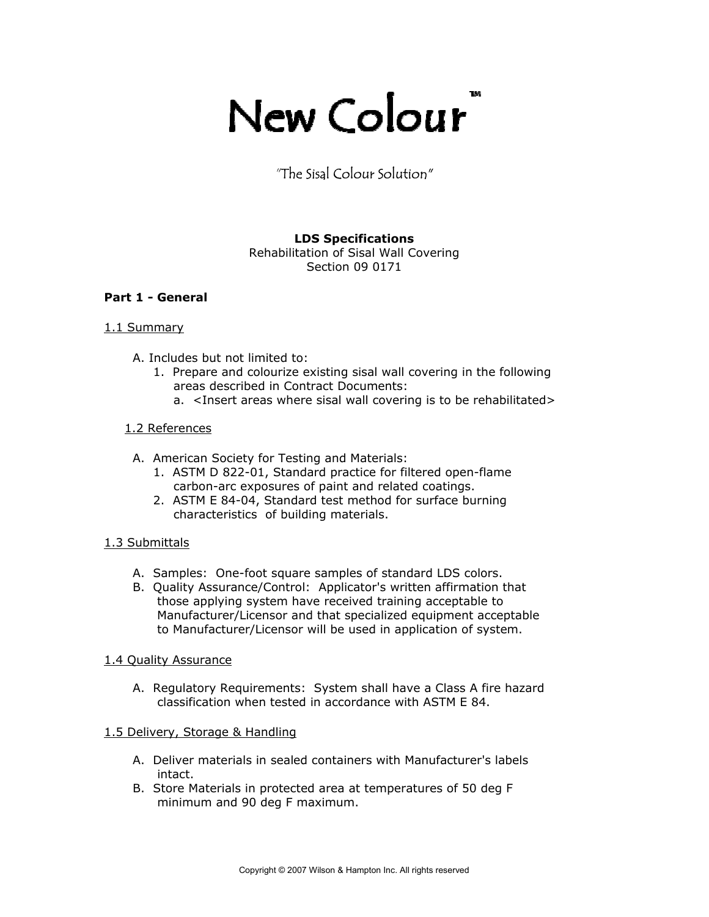# TM New Colour

"The Sisal Colour Solution"

#### **LDS Specifications**  Rehabilitation of Sisal Wall Covering

Section 09 0171

# **Part 1 - General**

# 1.1 Summary

- A. Includes but not limited to:
	- 1. Prepare and colourize existing sisal wall covering in the following areas described in Contract Documents:
		- a. <Insert areas where sisal wall covering is to be rehabilitated>

# 1.2 References

- A. American Society for Testing and Materials:
	- 1. ASTM D 822-01, Standard practice for filtered open-flame carbon-arc exposures of paint and related coatings.
	- 2. ASTM E 84-04, Standard test method for surface burning characteristics of building materials.

## 1.3 Submittals

- A. Samples: One-foot square samples of standard LDS colors.
- B. Quality Assurance/Control: Applicator's written affirmation that those applying system have received training acceptable to Manufacturer/Licensor and that specialized equipment acceptable to Manufacturer/Licensor will be used in application of system.

## 1.4 Quality Assurance

 A. Regulatory Requirements: System shall have a Class A fire hazard classification when tested in accordance with ASTM E 84.

## 1.5 Delivery, Storage & Handling

- A. Deliver materials in sealed containers with Manufacturer's labels intact.
- B. Store Materials in protected area at temperatures of 50 deg F minimum and 90 deg F maximum.